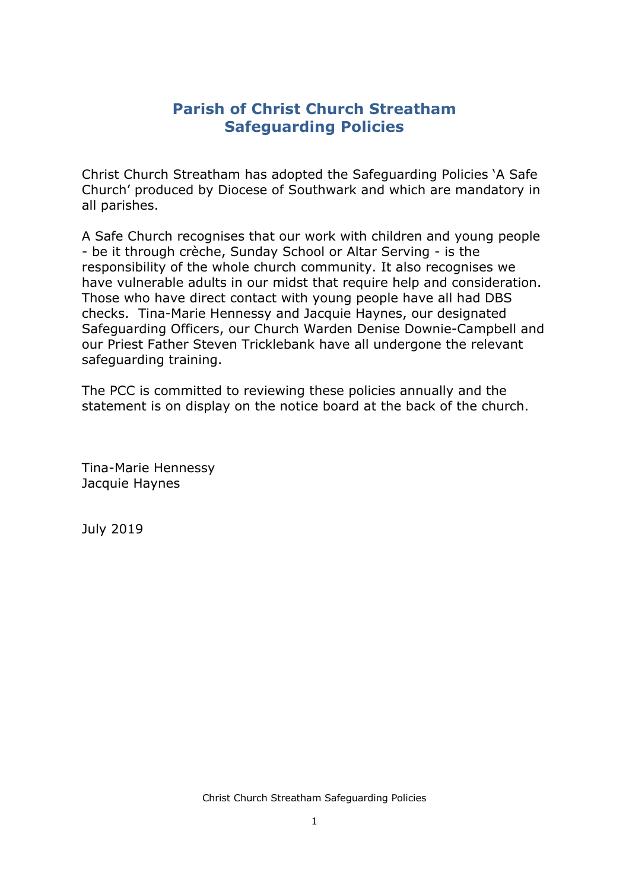# **Parish of Christ Church Streatham Safeguarding Policies**

Christ Church Streatham has adopted the Safeguarding Policies 'A Safe Church' produced by Diocese of Southwark and which are mandatory in all parishes.

A Safe Church recognises that our work with children and young people - be it through crèche, Sunday School or Altar Serving - is the responsibility of the whole church community. It also recognises we have vulnerable adults in our midst that require help and consideration. Those who have direct contact with young people have all had DBS checks. Tina-Marie Hennessy and Jacquie Haynes, our designated Safeguarding Officers, our Church Warden Denise Downie-Campbell and our Priest Father Steven Tricklebank have all undergone the relevant safeguarding training.

The PCC is committed to reviewing these policies annually and the statement is on display on the notice board at the back of the church.

Tina-Marie Hennessy Jacquie Haynes

July 2019

Christ Church Streatham Safeguarding Policies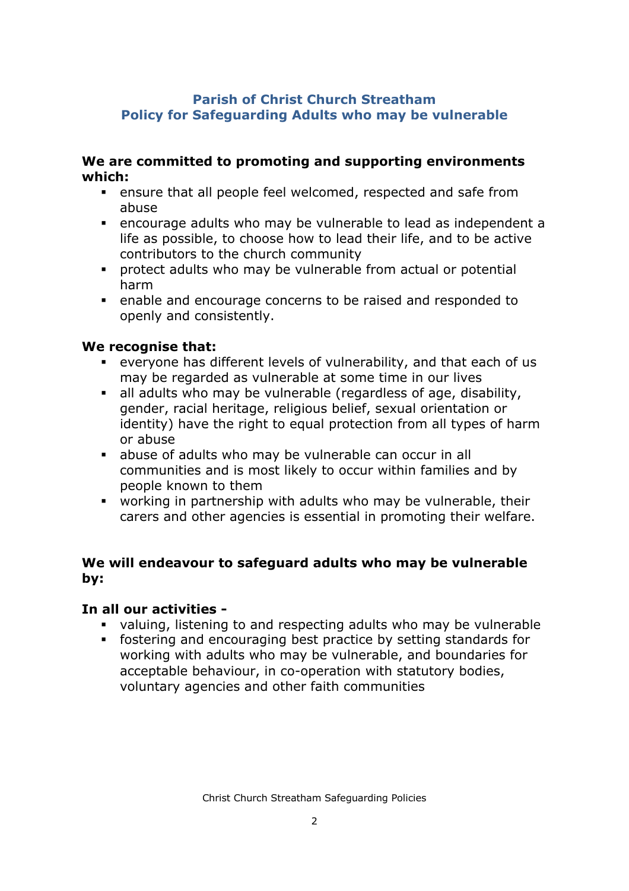### **Parish of Christ Church Streatham Policy for Safeguarding Adults who may be vulnerable**

#### **We are committed to promoting and supporting environments which:**

- **EXE** ensure that all people feel welcomed, respected and safe from abuse
- **•** encourage adults who may be vulnerable to lead as independent a life as possible, to choose how to lead their life, and to be active contributors to the church community
- § protect adults who may be vulnerable from actual or potential harm
- enable and encourage concerns to be raised and responded to openly and consistently.

### **We recognise that:**

- § everyone has different levels of vulnerability, and that each of us may be regarded as vulnerable at some time in our lives
- all adults who may be vulnerable (regardless of age, disability, gender, racial heritage, religious belief, sexual orientation or identity) have the right to equal protection from all types of harm or abuse
- abuse of adults who may be vulnerable can occur in all communities and is most likely to occur within families and by people known to them
- § working in partnership with adults who may be vulnerable, their carers and other agencies is essential in promoting their welfare.

### **We will endeavour to safeguard adults who may be vulnerable by:**

#### **In all our activities -**

- valuing, listening to and respecting adults who may be vulnerable
- § fostering and encouraging best practice by setting standards for working with adults who may be vulnerable, and boundaries for acceptable behaviour, in co-operation with statutory bodies, voluntary agencies and other faith communities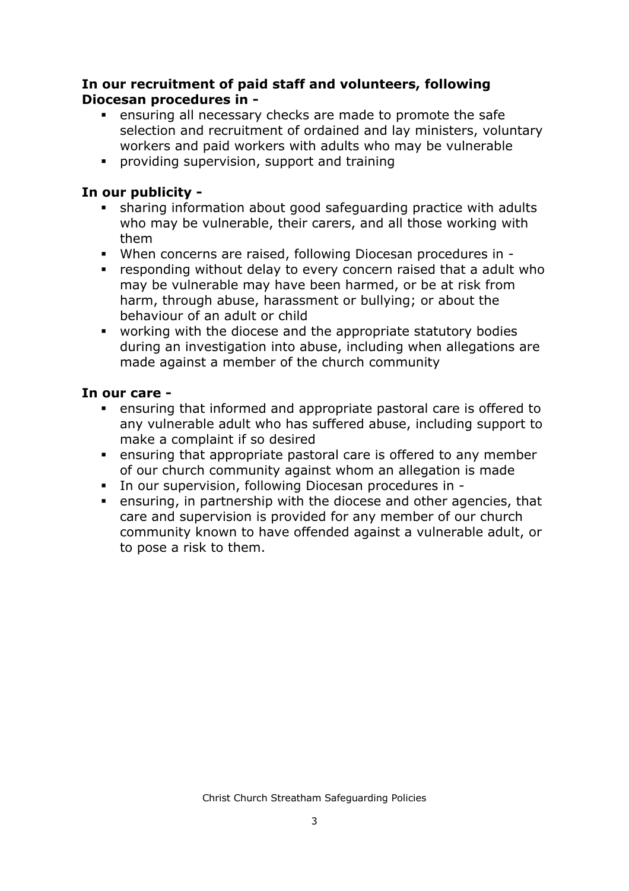### **In our recruitment of paid staff and volunteers, following Diocesan procedures in -**

- **Example 2** ensuring all necessary checks are made to promote the safe selection and recruitment of ordained and lay ministers, voluntary workers and paid workers with adults who may be vulnerable
- § providing supervision, support and training

## **In our publicity -**

- sharing information about good safeguarding practice with adults who may be vulnerable, their carers, and all those working with them
- § When concerns are raised, following Diocesan procedures in -
- responding without delay to every concern raised that a adult who may be vulnerable may have been harmed, or be at risk from harm, through abuse, harassment or bullying; or about the behaviour of an adult or child
- working with the diocese and the appropriate statutory bodies during an investigation into abuse, including when allegations are made against a member of the church community

## **In our care -**

- ensuring that informed and appropriate pastoral care is offered to any vulnerable adult who has suffered abuse, including support to make a complaint if so desired
- ensuring that appropriate pastoral care is offered to any member of our church community against whom an allegation is made
- § In our supervision, following Diocesan procedures in -
- ensuring, in partnership with the diocese and other agencies, that care and supervision is provided for any member of our church community known to have offended against a vulnerable adult, or to pose a risk to them.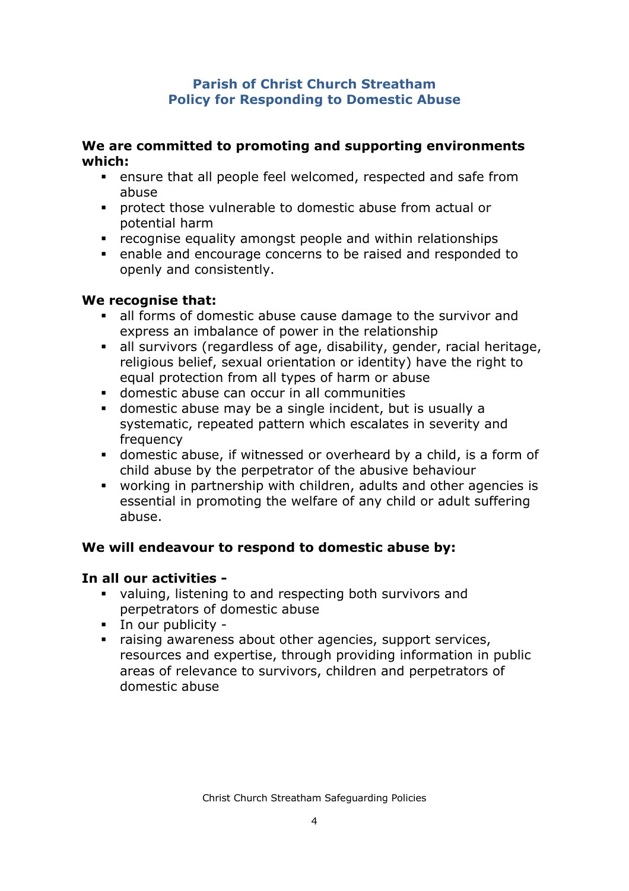### **Parish of Christ Church Streatham Policy for Responding to Domestic Abuse**

#### **We are committed to promoting and supporting environments which:**

- **EXECT** ensure that all people feel welcomed, respected and safe from abuse
- § protect those vulnerable to domestic abuse from actual or potential harm
- **•** recognise equality amongst people and within relationships
- enable and encourage concerns to be raised and responded to openly and consistently.

## **We recognise that:**

- all forms of domestic abuse cause damage to the survivor and express an imbalance of power in the relationship
- all survivors (regardless of age, disability, gender, racial heritage, religious belief, sexual orientation or identity) have the right to equal protection from all types of harm or abuse
- § domestic abuse can occur in all communities
- § domestic abuse may be a single incident, but is usually a systematic, repeated pattern which escalates in severity and frequency
- § domestic abuse, if witnessed or overheard by a child, is a form of child abuse by the perpetrator of the abusive behaviour
- working in partnership with children, adults and other agencies is essential in promoting the welfare of any child or adult suffering abuse.

# **We will endeavour to respond to domestic abuse by:**

### **In all our activities -**

- valuing, listening to and respecting both survivors and perpetrators of domestic abuse
- § In our publicity -
- raising awareness about other agencies, support services, resources and expertise, through providing information in public areas of relevance to survivors, children and perpetrators of domestic abuse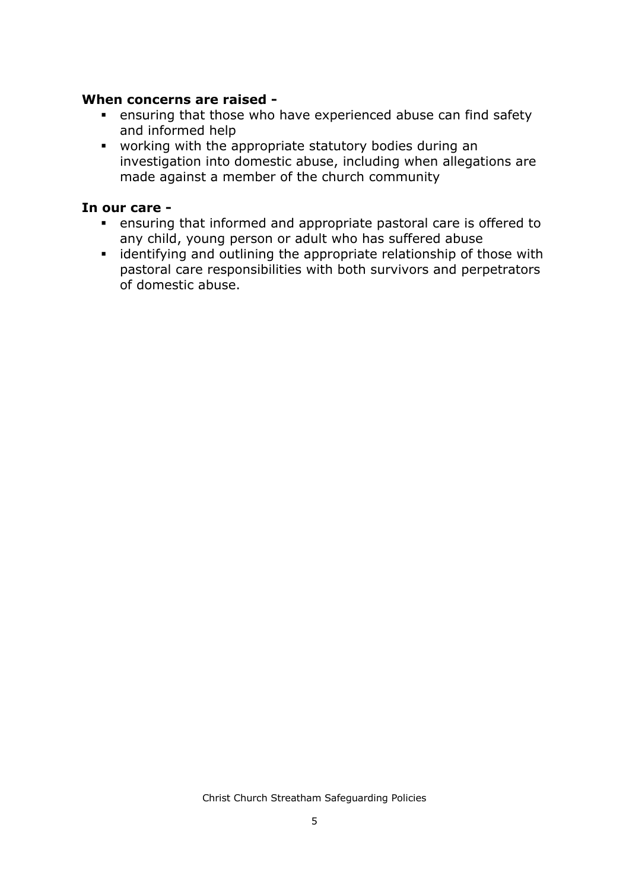#### **When concerns are raised -**

- **EXE** ensuring that those who have experienced abuse can find safety and informed help
- § working with the appropriate statutory bodies during an investigation into domestic abuse, including when allegations are made against a member of the church community

#### **In our care -**

- **EXECT** ensuring that informed and appropriate pastoral care is offered to any child, young person or adult who has suffered abuse
- identifying and outlining the appropriate relationship of those with pastoral care responsibilities with both survivors and perpetrators of domestic abuse.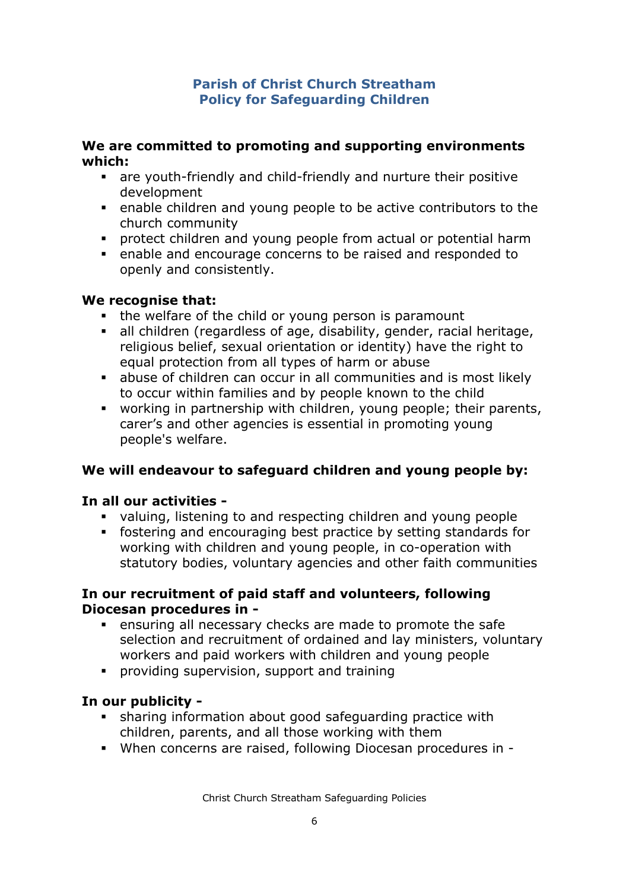### **Parish of Christ Church Streatham Policy for Safeguarding Children**

#### **We are committed to promoting and supporting environments which:**

- are youth-friendly and child-friendly and nurture their positive development
- enable children and young people to be active contributors to the church community
- **•** protect children and young people from actual or potential harm
- enable and encourage concerns to be raised and responded to openly and consistently.

### **We recognise that:**

- the welfare of the child or young person is paramount
- all children (regardless of age, disability, gender, racial heritage, religious belief, sexual orientation or identity) have the right to equal protection from all types of harm or abuse
- abuse of children can occur in all communities and is most likely to occur within families and by people known to the child
- § working in partnership with children, young people; their parents, carer's and other agencies is essential in promoting young people's welfare.

# **We will endeavour to safeguard children and young people by:**

# **In all our activities -**

- valuing, listening to and respecting children and young people
- § fostering and encouraging best practice by setting standards for working with children and young people, in co-operation with statutory bodies, voluntary agencies and other faith communities

### **In our recruitment of paid staff and volunteers, following Diocesan procedures in -**

- ensuring all necessary checks are made to promote the safe selection and recruitment of ordained and lay ministers, voluntary workers and paid workers with children and young people
- § providing supervision, support and training

# **In our publicity -**

- sharing information about good safeguarding practice with children, parents, and all those working with them
- § When concerns are raised, following Diocesan procedures in -

Christ Church Streatham Safeguarding Policies